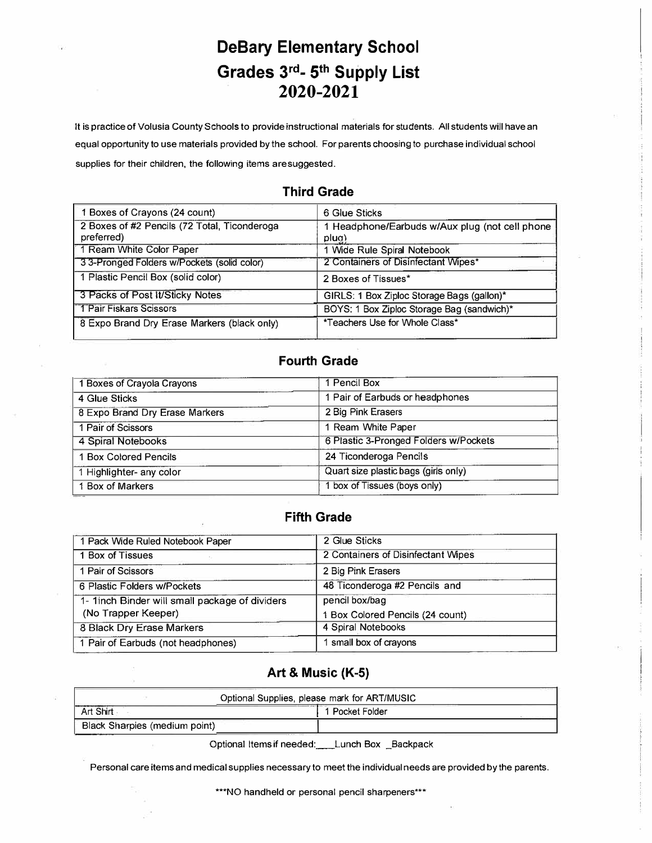# **DeBary Elementary School Grades 3rd- 5th Supply List 2020-2021**

**It is practice of Volusia County Schools to provide instructional materials for students. All students will have an equal opportunity to use materials provided by the school. For parents choosing to purchase individual school supplies for their children, the following items are suggested.** 

| 6 Glue Sticks                                           |
|---------------------------------------------------------|
| 1 Headphone/Earbuds w/Aux plug (not cell phone<br>plug) |
| 1 Wide Rule Spiral Notebook                             |
| 2 Containers of Disinfectant Wipes*                     |
| 2 Boxes of Tissues*                                     |
| GIRLS: 1 Box Ziploc Storage Bags (gallon)*              |
| BOYS: 1 Box Ziploc Storage Bag (sandwich)*              |
| *Teachers Use for Whole Class*                          |
|                                                         |

#### **Third Grade**

#### **Fourth Grade**

| 1 Pencil Box                          |  |
|---------------------------------------|--|
| 1 Pair of Earbuds or headphones       |  |
| 2 Big Pink Erasers                    |  |
| 1 Ream White Paper                    |  |
| 6 Plastic 3-Pronged Folders w/Pockets |  |
| 24 Ticonderoga Pencils                |  |
| Quart size plastic bags (girls only)  |  |
| 1 box of Tissues (boys only)          |  |
|                                       |  |

#### **Fifth Grade**

| 1 Pack Wide Ruled Notebook Paper                                      | 2 Glue Sticks                                      |
|-----------------------------------------------------------------------|----------------------------------------------------|
| 1 Box of Tissues                                                      | 2 Containers of Disinfectant Wipes                 |
| 1 Pair of Scissors                                                    | 2 Big Pink Erasers                                 |
| 6 Plastic Folders w/Pockets                                           | 48 Ticonderoga #2 Pencils and                      |
| 1- 1inch Binder will small package of dividers<br>(No Trapper Keeper) | pencil box/bag<br>1 Box Colored Pencils (24 count) |
| 8 Black Dry Erase Markers                                             | 4 Spiral Notebooks                                 |
| 1 Pair of Earbuds (not headphones)                                    | 1 small box of crayons                             |
|                                                                       |                                                    |

### **Art & Music (K-5)**

| Optional Supplies, please mark for ART/MUSIC |                 |  |  |
|----------------------------------------------|-----------------|--|--|
| Art Shirt                                    | l Pocket Folder |  |  |
| Black Sharpies (medium point)                |                 |  |  |

Optional Items if needed: \_\_ Lunch Box \_Backpack

**Personal care items and medical supplies necessary to meet the individual needs are provided by the parents.** 

**\*\*\*NO handheld or personal pencil sharpeners\*\*\***